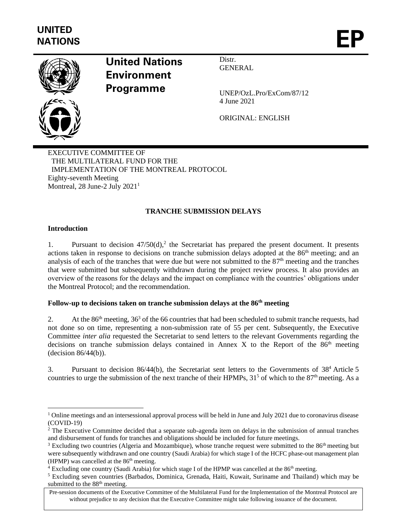

# **United Nations Environment Programme**

Distr. **GENERAL** 

UNEP/OzL.Pro/ExCom/87/12 4 June 2021

ORIGINAL: ENGLISH

EXECUTIVE COMMITTEE OF THE MULTILATERAL FUND FOR THE IMPLEMENTATION OF THE MONTREAL PROTOCOL Eighty-seventh Meeting Montreal,  $28$  June-2 July  $2021<sup>1</sup>$ 

# **TRANCHE SUBMISSION DELAYS**

# **Introduction**

1. Pursuant to decision  $47/50(d)$ , the Secretariat has prepared the present document. It presents actions taken in response to decisions on tranche submission delays adopted at the 86<sup>th</sup> meeting; and an analysis of each of the tranches that were due but were not submitted to the 87<sup>th</sup> meeting and the tranches that were submitted but subsequently withdrawn during the project review process. It also provides an overview of the reasons for the delays and the impact on compliance with the countries' obligations under the Montreal Protocol; and the recommendation.

# **Follow-up to decisions taken on tranche submission delays at the 86th meeting**

2. At the  $86<sup>th</sup>$  meeting,  $36<sup>3</sup>$  of the 66 countries that had been scheduled to submit tranche requests, had not done so on time, representing a non-submission rate of 55 per cent. Subsequently, the Executive Committee *inter alia* requested the Secretariat to send letters to the relevant Governments regarding the decisions on tranche submission delays contained in Annex X to the Report of the  $86<sup>th</sup>$  meeting (decision 86/44(b)).

3. Pursuant to decision 86/44(b), the Secretariat sent letters to the Governments of 38<sup>4</sup> Article 5 countries to urge the submission of the next tranche of their HPMPs,  $31<sup>5</sup>$  of which to the  $87<sup>th</sup>$  meeting. As a

 $1$  Online meetings and an intersessional approval process will be held in June and July 2021 due to coronavirus disease (COVID-19)

<sup>&</sup>lt;sup>2</sup> The Executive Committee decided that a separate sub-agenda item on delays in the submission of annual tranches and disbursement of funds for tranches and obligations should be included for future meetings.

<sup>&</sup>lt;sup>3</sup> Excluding two countries (Algeria and Mozambique), whose tranche request were submitted to the 86<sup>th</sup> meeting but were subsequently withdrawn and one country (Saudi Arabia) for which stage I of the HCFC phase-out management plan (HPMP) was cancelled at the  $86<sup>th</sup>$  meeting.

<sup>&</sup>lt;sup>4</sup> Excluding one country (Saudi Arabia) for which stage I of the HPMP was cancelled at the 86<sup>th</sup> meeting.

<sup>5</sup> Excluding seven countries (Barbados, Dominica, Grenada, Haiti, Kuwait, Suriname and Thailand) which may be submitted to the 88<sup>th</sup> meeting.

Pre-session documents of the Executive Committee of the Multilateral Fund for the Implementation of the Montreal Protocol are without prejudice to any decision that the Executive Committee might take following issuance of the document.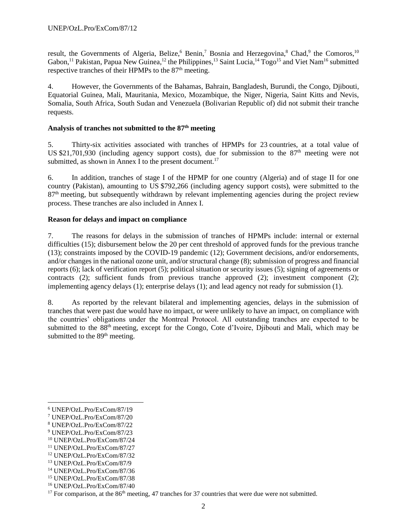result, the Governments of Algeria, Belize,<sup>6</sup> Benin,<sup>7</sup> Bosnia and Herzegovina,<sup>8</sup> Chad,<sup>9</sup> the Comoros,<sup>10</sup> Gabon,<sup>11</sup> Pakistan, Papua New Guinea,<sup>12</sup> the Philippines,<sup>13</sup> Saint Lucia,<sup>14</sup> Togo<sup>15</sup> and Viet Nam<sup>16</sup> submitted respective tranches of their HPMPs to the 87<sup>th</sup> meeting.

4. However, the Governments of the Bahamas, Bahrain, Bangladesh, Burundi, the Congo, Djibouti, Equatorial Guinea, Mali, Mauritania, Mexico, Mozambique, the Niger, Nigeria, Saint Kitts and Nevis, Somalia, South Africa, South Sudan and Venezuela (Bolivarian Republic of) did not submit their tranche requests.

### **Analysis of tranches not submitted to the 87 th meeting**

5. Thirty-six activities associated with tranches of HPMPs for 23 countries, at a total value of US \$21,701,930 (including agency support costs), due for submission to the  $87<sup>th</sup>$  meeting were not submitted, as shown in Annex I to the present document.<sup>17</sup>

6. In addition, tranches of stage I of the HPMP for one country (Algeria) and of stage II for one country (Pakistan), amounting to US \$792,266 (including agency support costs), were submitted to the 87<sup>th</sup> meeting, but subsequently withdrawn by relevant implementing agencies during the project review process. These tranches are also included in Annex I.

# **Reason for delays and impact on compliance**

7. The reasons for delays in the submission of tranches of HPMPs include: internal or external difficulties (15); disbursement below the 20 per cent threshold of approved funds for the previous tranche (13); constraints imposed by the COVID-19 pandemic (12); Government decisions, and/or endorsements, and/or changes in the national ozone unit, and/or structural change (8); submission of progress and financial reports (6); lack of verification report (5); political situation or security issues (5); signing of agreements or contracts (2); sufficient funds from previous tranche approved (2); investment component (2); implementing agency delays (1); enterprise delays (1); and lead agency not ready for submission (1).

8. As reported by the relevant bilateral and implementing agencies, delays in the submission of tranches that were past due would have no impact, or were unlikely to have an impact, on compliance with the countries' obligations under the Montreal Protocol. All outstanding tranches are expected to be submitted to the 88<sup>th</sup> meeting, except for the Congo, Cote d'Ivoire, Djibouti and Mali, which may be submitted to the 89<sup>th</sup> meeting.

<sup>6</sup> UNEP/OzL.Pro/ExCom/87/19

<sup>7</sup> UNEP/OzL.Pro/ExCom/87/20

<sup>8</sup> UNEP/OzL.Pro/ExCom/87/22

<sup>9</sup> UNEP/OzL.Pro/ExCom/87/23

<sup>10</sup> UNEP/OzL.Pro/ExCom/87/24

<sup>11</sup> UNEP/OzL.Pro/ExCom/87/27

<sup>12</sup> UNEP/OzL.Pro/ExCom/87/32

<sup>13</sup> UNEP/OzL.Pro/ExCom/87/9

<sup>14</sup> UNEP/OzL.Pro/ExCom/87/36

<sup>15</sup> UNEP/OzL.Pro/ExCom/87/38

<sup>16</sup> UNEP/OzL.Pro/ExCom/87/40

<sup>&</sup>lt;sup>17</sup> For comparison, at the  $86<sup>th</sup>$  meeting, 47 tranches for 37 countries that were due were not submitted.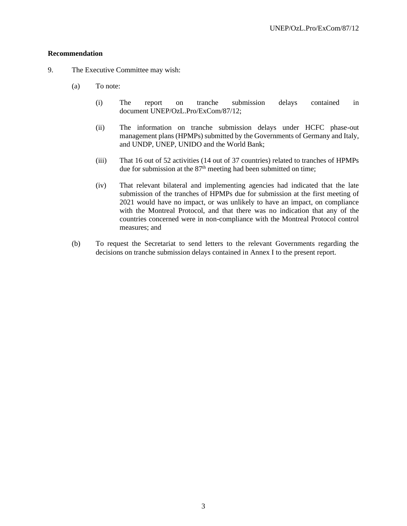#### **Recommendation**

- 9. The Executive Committee may wish:
	- (a) To note:
		- (i) The report on tranche submission delays contained in document UNEP/OzL.Pro/ExCom/87/12;
		- (ii) The information on tranche submission delays under HCFC phase-out management plans (HPMPs) submitted by the Governments of Germany and Italy, and UNDP, UNEP, UNIDO and the World Bank;
		- (iii) That 16 out of 52 activities (14 out of 37 countries) related to tranches of HPMPs due for submission at the 87<sup>th</sup> meeting had been submitted on time;
		- (iv) That relevant bilateral and implementing agencies had indicated that the late submission of the tranches of HPMPs due for submission at the first meeting of 2021 would have no impact, or was unlikely to have an impact, on compliance with the Montreal Protocol, and that there was no indication that any of the countries concerned were in non-compliance with the Montreal Protocol control measures; and
	- (b) To request the Secretariat to send letters to the relevant Governments regarding the decisions on tranche submission delays contained in Annex I to the present report.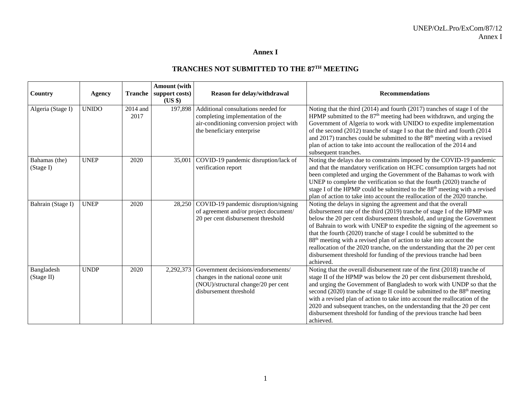# **Annex I**

# **TRANCHES NOT SUBMITTED TO THE 87TH MEETING**

|                            |               |                  | Amount (with       |                                                                                                                                                   |                                                                                                                                                                                                                                                                                                                                                                                                                                                                                                                                                                                                                                 |
|----------------------------|---------------|------------------|--------------------|---------------------------------------------------------------------------------------------------------------------------------------------------|---------------------------------------------------------------------------------------------------------------------------------------------------------------------------------------------------------------------------------------------------------------------------------------------------------------------------------------------------------------------------------------------------------------------------------------------------------------------------------------------------------------------------------------------------------------------------------------------------------------------------------|
| Country                    | <b>Agency</b> | <b>Tranche</b>   | support costs)     | Reason for delay/withdrawal                                                                                                                       | <b>Recommendations</b>                                                                                                                                                                                                                                                                                                                                                                                                                                                                                                                                                                                                          |
| Algeria (Stage I)          | <b>UNIDO</b>  | 2014 and<br>2017 | $(US \$<br>197,898 | Additional consultations needed for<br>completing implementation of the<br>air-conditioning conversion project with<br>the beneficiary enterprise | Noting that the third (2014) and fourth (2017) tranches of stage I of the<br>HPMP submitted to the $87th$ meeting had been withdrawn, and urging the<br>Government of Algeria to work with UNIDO to expedite implementation<br>of the second (2012) tranche of stage I so that the third and fourth (2014<br>and 2017) tranches could be submitted to the 88 <sup>th</sup> meeting with a revised<br>plan of action to take into account the reallocation of the 2014 and<br>subsequent tranches.                                                                                                                               |
| Bahamas (the)<br>(Stage I) | <b>UNEP</b>   | 2020             | 35,001             | COVID-19 pandemic disruption/lack of<br>verification report                                                                                       | Noting the delays due to constraints imposed by the COVID-19 pandemic<br>and that the mandatory verification on HCFC consumption targets had not<br>been completed and urging the Government of the Bahamas to work with<br>UNEP to complete the verification so that the fourth (2020) tranche of<br>stage I of the HPMP could be submitted to the 88 <sup>th</sup> meeting with a revised<br>plan of action to take into account the reallocation of the 2020 tranche.                                                                                                                                                        |
| Bahrain (Stage I)          | <b>UNEP</b>   | 2020             | 28,250             | COVID-19 pandemic disruption/signing<br>of agreement and/or project document/<br>20 per cent disbursement threshold                               | Noting the delays in signing the agreement and that the overall<br>disbursement rate of the third (2019) tranche of stage I of the HPMP was<br>below the 20 per cent disbursement threshold, and urging the Government<br>of Bahrain to work with UNEP to expedite the signing of the agreement so<br>that the fourth (2020) tranche of stage I could be submitted to the<br>88 <sup>th</sup> meeting with a revised plan of action to take into account the<br>reallocation of the 2020 tranche, on the understanding that the 20 per cent<br>disbursement threshold for funding of the previous tranche had been<br>achieved. |
| Bangladesh<br>(Stage II)   | <b>UNDP</b>   | 2020             | 2,292,373          | Government decisions/endorsements/<br>changes in the national ozone unit<br>(NOU)/structural change/20 per cent<br>disbursement threshold         | Noting that the overall disbursement rate of the first (2018) tranche of<br>stage II of the HPMP was below the 20 per cent disbursement threshold,<br>and urging the Government of Bangladesh to work with UNDP so that the<br>second (2020) tranche of stage II could be submitted to the 88 <sup>th</sup> meeting<br>with a revised plan of action to take into account the reallocation of the<br>2020 and subsequent tranches, on the understanding that the 20 per cent<br>disbursement threshold for funding of the previous tranche had been<br>achieved.                                                                |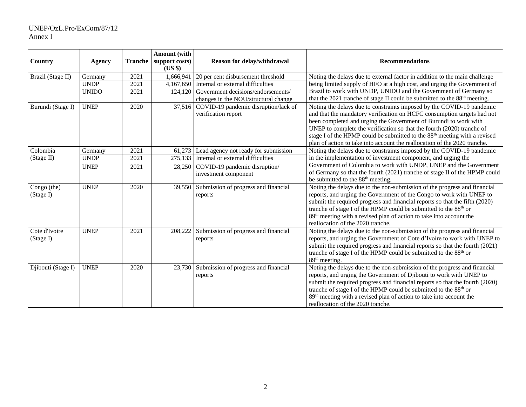# UNEP/OzL.Pro/ExCom/87/12 Annex I

| Country                    | Agency       | <b>Tranche</b> | Amount (with<br>support costs)<br>$(US \$ | Reason for delay/withdrawal                                                | <b>Recommendations</b>                                                                                                                                                                                                                                                                                                                                                                                                                                               |
|----------------------------|--------------|----------------|-------------------------------------------|----------------------------------------------------------------------------|----------------------------------------------------------------------------------------------------------------------------------------------------------------------------------------------------------------------------------------------------------------------------------------------------------------------------------------------------------------------------------------------------------------------------------------------------------------------|
| Brazil (Stage II)          | Germany      | 2021           | 1,666,941                                 | 20 per cent disbursement threshold                                         | Noting the delays due to external factor in addition to the main challenge                                                                                                                                                                                                                                                                                                                                                                                           |
|                            | <b>UNDP</b>  | 2021           | 4,167,650                                 | Internal or external difficulties                                          | being limited supply of HFO at a high cost, and urging the Government of                                                                                                                                                                                                                                                                                                                                                                                             |
|                            | <b>UNIDO</b> | 2021           | 124,120                                   | Government decisions/endorsements/<br>changes in the NOU/structural change | Brazil to work with UNDP, UNIDO and the Government of Germany so<br>that the 2021 tranche of stage II could be submitted to the 88 <sup>th</sup> meeting.                                                                                                                                                                                                                                                                                                            |
| Burundi (Stage I)          | <b>UNEP</b>  | 2020           |                                           | 37,516 COVID-19 pandemic disruption/lack of<br>verification report         | Noting the delays due to constraints imposed by the COVID-19 pandemic<br>and that the mandatory verification on HCFC consumption targets had not<br>been completed and urging the Government of Burundi to work with<br>UNEP to complete the verification so that the fourth (2020) tranche of<br>stage I of the HPMP could be submitted to the 88 <sup>th</sup> meeting with a revised<br>plan of action to take into account the reallocation of the 2020 tranche. |
| Colombia                   | Germany      | 2021           | 61,273                                    | Lead agency not ready for submission                                       | Noting the delays due to constraints imposed by the COVID-19 pandemic                                                                                                                                                                                                                                                                                                                                                                                                |
| (Stage II)                 | <b>UNDP</b>  | 2021           | 275,133                                   | Internal or external difficulties                                          | in the implementation of investment component, and urging the                                                                                                                                                                                                                                                                                                                                                                                                        |
|                            | <b>UNEP</b>  | 2021           | 28,250                                    | COVID-19 pandemic disruption/<br>investment component                      | Government of Colombia to work with UNDP, UNEP and the Government<br>of Germany so that the fourth (2021) tranche of stage II of the HPMP could<br>be submitted to the 88 <sup>th</sup> meeting.                                                                                                                                                                                                                                                                     |
| Congo (the)<br>(Stage I)   | <b>UNEP</b>  | 2020           | 39,550                                    | Submission of progress and financial<br>reports                            | Noting the delays due to the non-submission of the progress and financial<br>reports, and urging the Government of the Congo to work with UNEP to<br>submit the required progress and financial reports so that the fifth (2020)<br>tranche of stage I of the HPMP could be submitted to the 88 <sup>th</sup> or<br>89 <sup>th</sup> meeting with a revised plan of action to take into account the<br>reallocation of the 2020 tranche.                             |
| Cote d'Ivoire<br>(Stage I) | <b>UNEP</b>  | 2021           | 208,222                                   | Submission of progress and financial<br>reports                            | Noting the delays due to the non-submission of the progress and financial<br>reports, and urging the Government of Cote d'Ivoire to work with UNEP to<br>submit the required progress and financial reports so that the fourth (2021)<br>tranche of stage I of the HPMP could be submitted to the 88 <sup>th</sup> or<br>89 <sup>th</sup> meeting.                                                                                                                   |
| Djibouti (Stage I)         | <b>UNEP</b>  | 2020           | 23,730                                    | Submission of progress and financial<br>reports                            | Noting the delays due to the non-submission of the progress and financial<br>reports, and urging the Government of Djibouti to work with UNEP to<br>submit the required progress and financial reports so that the fourth (2020)<br>tranche of stage I of the HPMP could be submitted to the 88 <sup>th</sup> or<br>89 <sup>th</sup> meeting with a revised plan of action to take into account the<br>reallocation of the 2020 tranche.                             |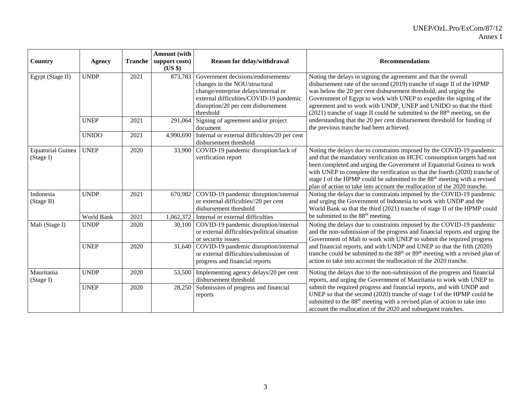|                                       |              |                | Amount (with       |                                                                                |                                                                                                                                                                            |
|---------------------------------------|--------------|----------------|--------------------|--------------------------------------------------------------------------------|----------------------------------------------------------------------------------------------------------------------------------------------------------------------------|
| Country                               | Agency       | <b>Tranche</b> | support costs)     | Reason for delay/withdrawal                                                    | <b>Recommendations</b>                                                                                                                                                     |
| Egypt (Stage II)                      | <b>UNDP</b>  | 2021           | (US \$)<br>873,783 | Government decisions/endorsements/                                             | Noting the delays in signing the agreement and that the overall                                                                                                            |
|                                       |              |                |                    | changes in the NOU/structural<br>change/enterprise delays/internal or          | disbursement rate of the second (2019) tranche of stage II of the HPMP<br>was below the 20 per cent disbursement threshold, and urging the                                 |
|                                       |              |                |                    | external difficulties/COVID-19 pandemic<br>disruption/20 per cent disbursement | Government of Egypt to work with UNEP to expedite the signing of the<br>agreement and to work with UNDP, UNEP and UNIDO so that the third                                  |
|                                       |              |                |                    | threshold                                                                      | $(2021)$ tranche of stage II could be submitted to the 88 <sup>th</sup> meeting, on the                                                                                    |
|                                       | <b>UNEP</b>  | 2021           | 291,064            | Signing of agreement and/or project<br>document                                | understanding that the 20 per cent disbursement threshold for funding of<br>the previous tranche had been achieved.                                                        |
|                                       | <b>UNIDO</b> | 2021           | 4,990,690          | Internal or external difficulties/20 per cent<br>disbursement threshold        |                                                                                                                                                                            |
| <b>Equatorial Guinea</b><br>(Stage I) | <b>UNEP</b>  | 2020           | 33,900             | COVID-19 pandemic disruption/lack of<br>verification report                    | Noting the delays due to constraints imposed by the COVID-19 pandemic<br>and that the mandatory verification on HCFC consumption targets had not                           |
|                                       |              |                |                    |                                                                                | been completed and urging the Government of Equatorial Guinea to work                                                                                                      |
|                                       |              |                |                    |                                                                                | with UNEP to complete the verification so that the fourth (2020) tranche of<br>stage I of the HPMP could be submitted to the 88 <sup>th</sup> meeting with a revised       |
|                                       |              |                |                    |                                                                                | plan of action to take into account the reallocation of the 2020 tranche.                                                                                                  |
| Indonesia                             | <b>UNDP</b>  | 2021           | 670,982            | COVID-19 pandemic disruption/internal                                          | Noting the delays due to constraints imposed by the COVID-19 pandemic                                                                                                      |
| (Stage II)                            |              |                |                    | or external difficulties//20 per cent<br>disbursement threshold                | and urging the Government of Indonesia to work with UNDP and the<br>World Bank so that the third (2021) tranche of stage II of the HPMP could                              |
|                                       | World Bank   | 2021           | ,062,372           | Internal or external difficulties                                              | be submitted to the 88 <sup>th</sup> meeting.                                                                                                                              |
| Mali (Stage I)                        | <b>UNDP</b>  | 2020           | 30,100             | COVID-19 pandemic disruption/internal                                          | Noting the delays due to constraints imposed by the COVID-19 pandemic                                                                                                      |
|                                       |              |                |                    | or external difficulties/political situation<br>or security issues             | and the non-submission of the progress and financial reports and urging the<br>Government of Mali to work with UNEP to submit the required progress                        |
|                                       | <b>UNEP</b>  | 2020           | 31,640             | COVID-19 pandemic disruption/internal                                          | and financial reports, and with UNDP and UNEP so that the fifth (2020)                                                                                                     |
|                                       |              |                |                    | or external difficulties/submission of<br>progress and financial reports       | tranche could be submitted to the 88 <sup>th</sup> or 89 <sup>th</sup> meeting with a revised plan of<br>action to take into account the reallocation of the 2020 tranche. |
|                                       |              |                |                    |                                                                                |                                                                                                                                                                            |
| Mauritania<br>(Stage I)               | <b>UNDP</b>  | 2020           | 53,500             | Implementing agency delays/20 per cent<br>disbursement threshold               | Noting the delays due to the non-submission of the progress and financial<br>reports, and urging the Government of Mauritania to work with UNEP to                         |
|                                       | <b>UNEP</b>  | 2020           | 28,250             | Submission of progress and financial                                           | submit the required progress and financial reports, and with UNDP and                                                                                                      |
|                                       |              |                |                    | reports                                                                        | UNEP so that the second (2020) tranche of stage I of the HPMP could be                                                                                                     |
|                                       |              |                |                    |                                                                                | submitted to the 88 <sup>th</sup> meeting with a revised plan of action to take into<br>account the reallocation of the 2020 and subsequent tranches.                      |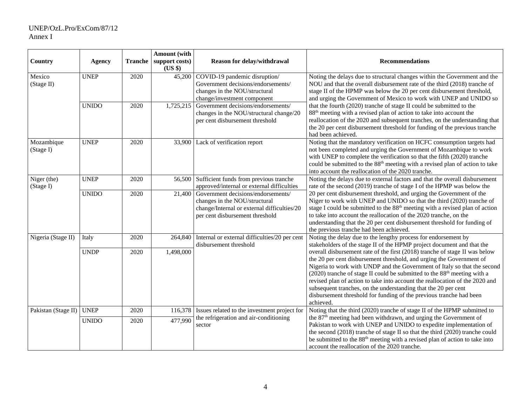# UNEP/OzL.Pro/ExCom/87/12 Annex I

| Country                  | <b>Agency</b> | Tranche | Amount (with<br>support costs)<br>(US \$) | Reason for delay/withdrawal                                                                                                                           | <b>Recommendations</b>                                                                                                                                                                                                                                                                                                                                                                                                                                                                                                                                        |
|--------------------------|---------------|---------|-------------------------------------------|-------------------------------------------------------------------------------------------------------------------------------------------------------|---------------------------------------------------------------------------------------------------------------------------------------------------------------------------------------------------------------------------------------------------------------------------------------------------------------------------------------------------------------------------------------------------------------------------------------------------------------------------------------------------------------------------------------------------------------|
| Mexico<br>(Stage II)     | <b>UNEP</b>   | 2020    | 45,200                                    | COVID-19 pandemic disruption/<br>Government decisions/endorsements/<br>changes in the NOU/structural<br>change/investment component                   | Noting the delays due to structural changes within the Government and the<br>NOU and that the overall disbursement rate of the third (2018) tranche of<br>stage II of the HPMP was below the 20 per cent disbursement threshold,<br>and urging the Government of Mexico to work with UNEP and UNIDO so                                                                                                                                                                                                                                                        |
|                          | <b>UNIDO</b>  | 2020    | 1,725,215                                 | Government decisions/endorsements/<br>changes in the NOU/structural change/20<br>per cent disbursement threshold                                      | that the fourth (2020) tranche of stage II could be submitted to the<br>88 <sup>th</sup> meeting with a revised plan of action to take into account the<br>reallocation of the 2020 and subsequent tranches, on the understanding that<br>the 20 per cent disbursement threshold for funding of the previous tranche<br>had been achieved.                                                                                                                                                                                                                    |
| Mozambique<br>(Stage I)  | <b>UNEP</b>   | 2020    | 33,900                                    | Lack of verification report                                                                                                                           | Noting that the mandatory verification on HCFC consumption targets had<br>not been completed and urging the Government of Mozambique to work<br>with UNEP to complete the verification so that the fifth (2020) tranche<br>could be submitted to the 88 <sup>th</sup> meeting with a revised plan of action to take<br>into account the reallocation of the 2020 tranche.                                                                                                                                                                                     |
| Niger (the)<br>(Stage I) | <b>UNEP</b>   | 2020    | 56,500                                    | Sufficient funds from previous tranche<br>approved/internal or external difficulties                                                                  | Noting the delays due to external factors and that the overall disbursement<br>rate of the second (2019) tranche of stage I of the HPMP was below the                                                                                                                                                                                                                                                                                                                                                                                                         |
|                          | <b>UNIDO</b>  | 2020    | 21,400                                    | Government decisions/endorsements/<br>changes in the NOU/structural<br>change/Internal or external difficulties/20<br>per cent disbursement threshold | 20 per cent disbursement threshold, and urging the Government of the<br>Niger to work with UNEP and UNIDO so that the third (2020) tranche of<br>stage I could be submitted to the 88 <sup>th</sup> meeting with a revised plan of action<br>to take into account the reallocation of the 2020 tranche, on the<br>understanding that the 20 per cent disbursement threshold for funding of<br>the previous tranche had been achieved.                                                                                                                         |
| Nigeria (Stage II)       | Italy         | 2020    | 264,840                                   | Internal or external difficulties/20 per cent<br>disbursement threshold                                                                               | Noting the delay due to the lengthy process for endorsement by<br>stakeholders of the stage II of the HPMP project document and that the                                                                                                                                                                                                                                                                                                                                                                                                                      |
|                          | <b>UNDP</b>   | 2020    | 1,498,000                                 |                                                                                                                                                       | overall disbursement rate of the first (2018) tranche of stage II was below<br>the 20 per cent disbursement threshold, and urging the Government of<br>Nigeria to work with UNDP and the Government of Italy so that the second<br>(2020) tranche of stage II could be submitted to the 88 <sup>th</sup> meeting with a<br>revised plan of action to take into account the reallocation of the 2020 and<br>subsequent tranches, on the understanding that the 20 per cent<br>disbursement threshold for funding of the previous tranche had been<br>achieved. |
| Pakistan (Stage II)      | <b>UNEP</b>   | 2020    | 116,378                                   | Issues related to the investment project for                                                                                                          | Noting that the third (2020) tranche of stage II of the HPMP submitted to<br>the 87 <sup>th</sup> meeting had been withdrawn, and urging the Government of                                                                                                                                                                                                                                                                                                                                                                                                    |
|                          | <b>UNIDO</b>  | 2020    | 477,990                                   | the refrigeration and air-conditioning<br>sector                                                                                                      | Pakistan to work with UNEP and UNIDO to expedite implementation of<br>the second (2018) tranche of stage II so that the third (2020) tranche could<br>be submitted to the 88 <sup>th</sup> meeting with a revised plan of action to take into<br>account the reallocation of the 2020 tranche.                                                                                                                                                                                                                                                                |